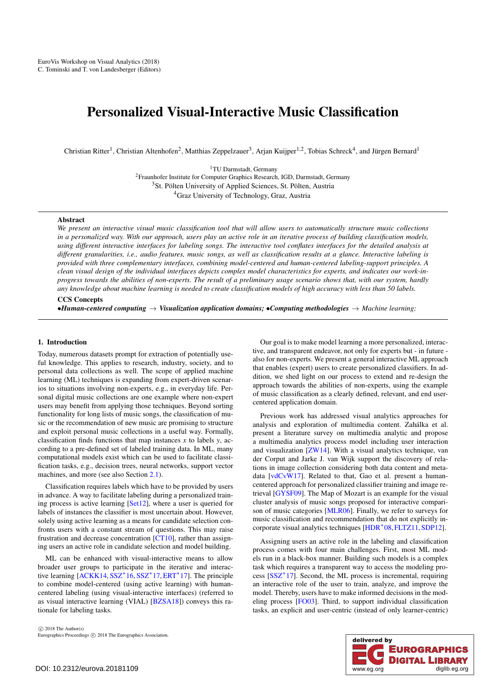# <span id="page-0-0"></span>Personalized Visual-Interactive Music Classification

Christian Ritter<sup>1</sup>, Christian Altenhofen<sup>2</sup>, Matthias Zeppelzauer<sup>3</sup>, Arian Kuijper<sup>1,2</sup>, Tobias Schreck<sup>4</sup>, and Jürgen Bernard<sup>1</sup>

1TU Darmstadt, Germany 2Fraunhofer Institute for Computer Graphics Research, IGD, Darmstadt, Germany <sup>3</sup>St. Pölten University of Applied Sciences, St. Pölten, Austria

<sup>4</sup>Graz University of Technology, Graz, Austria

#### Abstract

*We present an interactive visual music classification tool that will allow users to automatically structure music collections in a personalized way. With our approach, users play an active role in an iterative process of building classification models, using different interactive interfaces for labeling songs. The interactive tool conflates interfaces for the detailed analysis at different granularities, i.e., audio features, music songs, as well as classification results at a glance. Interactive labeling is provided with three complementary interfaces, combining model-centered and human-centered labeling-support principles. A clean visual design of the individual interfaces depicts complex model characteristics for experts, and indicates our work-inprogress towards the abilities of non-experts. The result of a preliminary usage scenario shows that, with our system, hardly any knowledge about machine learning is needed to create classification models of high accuracy with less than 50 labels.*

# CCS Concepts

•*Human-centered computing* → *Visualization application domains;* •*Computing methodologies* → *Machine learning;*

#### 1. Introduction

Today, numerous datasets prompt for extraction of potentially useful knowledge. This applies to research, industry, society, and to personal data collections as well. The scope of applied machine learning (ML) techniques is expanding from expert-driven scenarios to situations involving non-experts, e.g., in everyday life. Personal digital music collections are one example where non-expert users may benefit from applying those techniques. Beyond sorting functionality for long lists of music songs, the classification of music or the recommendation of new music are promising to structure and exploit personal music collections in a useful way. Formally, classification finds functions that map instances  $x$  to labels  $y$ , according to a pre-defined set of labeled training data. In ML, many computational models exist which can be used to facilitate classification tasks, e.g., decision trees, neural networks, support vector machines, and more (see also Section [2.1\)](#page-1-0).

Classification requires labels which have to be provided by users in advance. A way to facilitate labeling during a personalized training process is active learning [\[Set12\]](#page-4-0), where a user is queried for labels of instances the classifier is most uncertain about. However, solely using active learning as a means for candidate selection confronts users with a constant stream of questions. This may raise frustration and decrease concentration [\[CT10\]](#page-4-1), rather than assigning users an active role in candidate selection and model building.

ML can be enhanced with visual-interactive means to allow broader user groups to participate in the iterative and interactive learning [\[ACKK14,](#page-4-2) [SSZ](#page-4-3)∗16, [SSZ](#page-4-4)∗17,[ERT](#page-4-5)∗17]. The principle to combine model-centered (using active learning) with humancentered labeling (using visual-interactive interfaces) (referred to as visual interactive learning (VIAL) [\[BZSA18\]](#page-4-6)) conveys this rationale for labeling tasks.

 $\odot$  2018 The Author(s) Eurographics Proceedings (c) 2018 The Eurographics Association.

Our goal is to make model learning a more personalized, interactive, and transparent endeavor, not only for experts but - in future also for non-experts. We present a general interactive ML approach that enables (expert) users to create personalized classifiers. In addition, we shed light on our process to extend and re-design the approach towards the abilities of non-experts, using the example of music classification as a clearly defined, relevant, and end usercentered application domain.

Previous work has addressed visual analytics approaches for analysis and exploration of multimedia content. Zahálka et al. present a literature survey on multimedia analytic and propose a multimedia analytics process model including user interaction and visualization [\[ZW14\]](#page-4-7). With a visual analytics technique, van der Corput and Jarke J. van Wijk support the discovery of relations in image collection considering both data content and metadata [\[vdCvW17\]](#page-4-8). Related to that, Gao et al. present a humancentered approach for personalized classifier training and image retrieval [\[GYSF09\]](#page-4-9). The Map of Mozart is an example for the visual cluster analysis of music songs proposed for interactive comparison of music categories [\[MLR06\]](#page-4-10). Finally, we refer to surveys for music classification and recommendation that do not explicitly incorporate visual analytics techniques [\[HDR](#page-4-11)∗08,[FLTZ11,](#page-4-12)[SDP12\]](#page-4-13).

Assigning users an active role in the labeling and classification process comes with four main challenges. First, most ML models run in a black-box manner. Building such models is a complex task which requires a transparent way to access the modeling process [\[SSZ](#page-4-4)∗17]. Second, the ML process is incremental, requiring an interactive role of the user to train, analyze, and improve the model. Thereby, users have to make informed decisions in the modeling process [\[FO03\]](#page-4-14). Third, to support individual classification tasks, an explicit and user-centric (instead of only learner-centric)

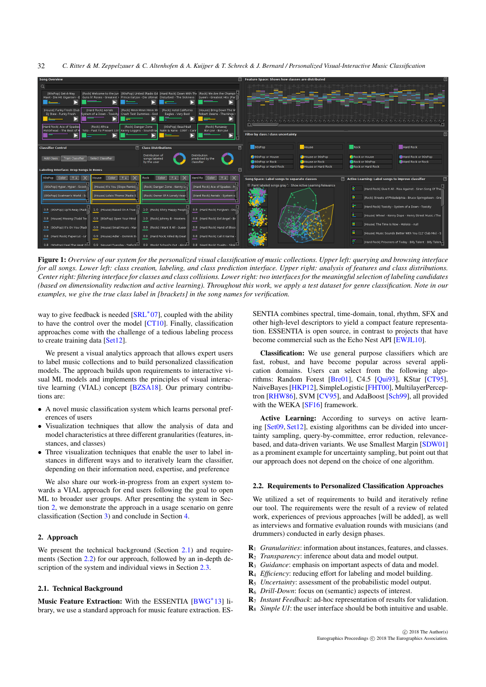<span id="page-1-4"></span>*C. Ritter & M. Zeppelzauer & C. Altenhofen & A. Kuijper & T. Schreck & J. Bernard / Personalized Visual-Interactive Music Classification* 32



<span id="page-1-3"></span>Figure 1: *Overview of our system for the personalized visual classification of music collections. Upper left: querying and browsing interface for all songs. Lower left: class creation, labeling, and class prediction interface. Upper right: analysis of features and class distributions. Center right: filtering interface for classes and class collisions. Lower right: two interfaces for the meaningful selection of labeling candidates (based on dimensionality reduction and active learning). Throughout this work, we apply a test dataset for genre classification. Note in our examples, we give the true class label in [brackets] in the song names for verification.*

way to give feedback is needed [\[SRL](#page-4-15)<sup>∗</sup>07], coupled with the ability to have the control over the model [\[CT10\]](#page-4-1). Finally, classification approaches come with the challenge of a tedious labeling process to create training data [\[Set12\]](#page-4-0).

We present a visual analytics approach that allows expert users to label music collections and to build personalized classification models. The approach builds upon requirements to interactive visual ML models and implements the principles of visual interactive learning (VIAL) concept [\[BZSA18\]](#page-4-6). Our primary contributions are:

- A novel music classification system which learns personal preferences of users
- Visualization techniques that allow the analysis of data and model characteristics at three different granularities (features, instances, and classes)
- Three visualization techniques that enable the user to label instances in different ways and to iteratively learn the classifier, depending on their information need, expertise, and preference

We also share our work-in-progress from an expert system towards a VIAL approach for end users following the goal to open ML to broader user groups. After presenting the system in Section [2,](#page-1-1) we demonstrate the approach in a usage scenario on genre classification (Section [3\)](#page-3-0) and conclude in Section [4.](#page-3-1)

# <span id="page-1-1"></span>2. Approach

We present the technical background (Section  $2.1$ ) and requirements (Section [2.2\)](#page-1-2) for our approach, followed by an in-depth description of the system and individual views in Section [2.3.](#page-2-0)

# <span id="page-1-0"></span>2.1. Technical Background

Music Feature Extraction: With the ESSENTIA [\[BWG](#page-4-16)∗13] library, we use a standard approach for music feature extraction. ES-

SENTIA combines spectral, time-domain, tonal, rhythm, SFX and other high-level descriptors to yield a compact feature representation. ESSENTIA is open source, in contrast to projects that have become commercial such as the Echo Nest API [\[EWJL10\]](#page-4-17).

Classification: We use general purpose classifiers which are fast, robust, and have become popular across several application domains. Users can select from the following algo-rithms: Random Forest [\[Bre01\]](#page-4-18), C4.5 [\[Qui93\]](#page-4-19), KStar [\[CT95\]](#page-4-20), NaiveBayes [\[HKP12\]](#page-4-21), SimpleLogistic [\[FHT00\]](#page-4-22), MultilayerPerceptron [\[RHW86\]](#page-4-23), SVM [\[CV95\]](#page-4-24), and AdaBoost [\[Sch99\]](#page-4-25), all provided with the WEKA [\[SF16\]](#page-4-26) framework.

Active Learning: According to surveys on active learning [\[Set09,](#page-4-27) [Set12\]](#page-4-0), existing algorithms can be divided into uncertainty sampling, query-by-committee, error reduction, relevancebased, and data-driven variants. We use Smallest Margin [\[SDW01\]](#page-4-28) as a prominent example for uncertainty sampling, but point out that our approach does not depend on the choice of one algorithm.

#### <span id="page-1-2"></span>2.2. Requirements to Personalized Classification Approaches

We utilized a set of requirements to build and iteratively refine our tool. The requirements were the result of a review of related work, experiences of previous approaches [will be added], as well as interviews and formative evaluation rounds with musicians (and drummers) conducted in early design phases.

- R<sup>1</sup> *Granularities*: information about instances, features, and classes.
- R<sup>2</sup> *Transparency*: inference about data and model output.
- R<sup>3</sup> *Guidance*: emphasis on important aspects of data and model.
- R<sup>4</sup> *Efficiency*: reducing effort for labeling and model building.
- R<sup>5</sup> *Uncertainty*: assessment of the probabilistic model output.
- R<sup>6</sup> *Drill-Down*: focus on (semantic) aspects of interest.
- R<sup>7</sup> *Instant Feedback*: ad-hoc representation of results for validation.
- R<sup>8</sup> *Simple UI*: the user interface should be both intuitive and usable.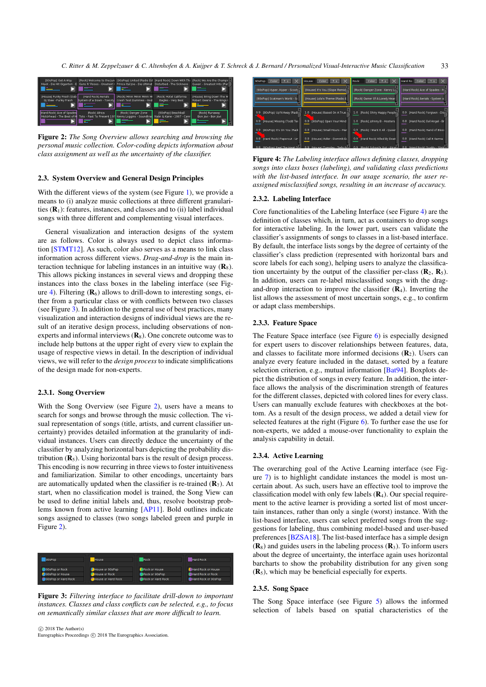<span id="page-2-4"></span>*C. Ritter & M. Zeppelzauer & C. Altenhofen & A. Kuijper & T. Schreck & J. Bernard / Personalized Visual-Interactive Music Classification* 33



<span id="page-2-3"></span>Figure 2: *The Song Overview allows searching and browsing the personal music collection. Color-coding depicts information about class assignment as well as the uncertainty of the classifier.*

## <span id="page-2-0"></span>2.3. System Overview and General Design Principles

With the different views of the system (see Figure [1\)](#page-1-3), we provide a means to (i) analyze music collections at three different granularities  $(R<sub>1</sub>)$ : features, instances, and classes and to (ii) label individual songs with three different and complementing visual interfaces.

General visualization and interaction designs of the system are as follows. Color is always used to depict class information [\[STMT12\]](#page-4-29). As such, color also serves as a means to link class information across different views. *Drag-and-drop* is the main interaction technique for labeling instances in an intuitive way  $(\mathbf{R}_8)$ . This allows picking instances in several views and dropping these instances into the class boxes in the labeling interface (see Fig-ure [4\)](#page-2-1). Filtering  $(\mathbf{R}_6)$  allows to drill-down to interesting songs, either from a particular class or with conflicts between two classes (see Figure [3\)](#page-2-2). In addition to the general use of best practices, many visualization and interaction designs of individual views are the result of an iterative design process, including observations of nonexperts and informal interviews  $(\mathbf{R}_8)$ . One concrete outcome was to include help buttons at the upper right of every view to explain the usage of respective views in detail. In the description of individual views, we will refer to the *design process* to indicate simplifications of the design made for non-experts.

# 2.3.1. Song Overview

With the Song Overview (see Figure [2\)](#page-2-3), users have a means to search for songs and browse through the music collection. The visual representation of songs (title, artists, and current classifier uncertainty) provides detailed information at the granularity of individual instances. Users can directly deduce the uncertainty of the classifier by analyzing horizontal bars depicting the probability distribution  $(R_5)$ . Using horizontal bars is the result of design process. This encoding is now recurring in three views to foster intuitiveness and familiarization. Similar to other encodings, uncertainty bars are automatically updated when the classifier is re-trained  $(\mathbf{R}_7)$ . At start, when no classification model is trained, the Song View can be used to define initial labels and, thus, resolve bootstrap problems known from active learning [\[AP11\]](#page-4-30). Bold outlines indicate songs assigned to classes (two songs labeled green and purple in Figure [2\)](#page-2-3).



<span id="page-2-2"></span>Figure 3: *Filtering interface to facilitate drill-down to important instances. Classes and class conflicts can be selected, e.g., to focus on semantically similar classes that are more difficult to learn.*

 $\odot$  2018 The Author(s) Eurographics Proceedings (C) 2018 The Eurographics Association.



<span id="page-2-1"></span>Figure 4: *The Labeling interface allows defining classes, dropping songs into class boxes (labeling), and validating class predictions with the list-based interface. In our usage scenario, the user reassigned misclassified songs, resulting in an increase of accuracy.*

# 2.3.2. Labeling Interface

Core functionalities of the Labeling Interface (see Figure [4\)](#page-2-1) are the definition of classes which, in turn, act as containers to drop songs for interactive labeling. In the lower part, users can validate the classifier's assignments of songs to classes in a list-based interface. By default, the interface lists songs by the degree of certainty of the classifier's class prediction (represented with horizontal bars and score labels for each song), helping users to analyze the classification uncertainty by the output of the classifier per-class  $(\mathbf{R}_2, \mathbf{R}_5)$ . In addition, users can re-label misclassified songs with the dragand-drop interaction to improve the classifier  $(\mathbf{R}_4)$ . Inverting the list allows the assessment of most uncertain songs, e.g., to confirm or adapt class memberships.

## 2.3.3. Feature Space

The Feature Space interface (see Figure [6\)](#page-3-2) is especially designed for expert users to discover relationships between features, data, and classes to facilitate more informed decisions  $(R_2)$ . Users can analyze every feature included in the dataset, sorted by a feature selection criterion, e.g., mutual information [\[Bat94\]](#page-4-31). Boxplots depict the distribution of songs in every feature. In addition, the interface allows the analysis of the discrimination strength of features for the different classes, depicted with colored lines for every class. Users can manually exclude features with checkboxes at the bottom. As a result of the design process, we added a detail view for selected features at the right (Figure [6\)](#page-3-2). To further ease the use for non-experts, we added a mouse-over functionality to explain the analysis capability in detail.

# 2.3.4. Active Learning

The overarching goal of the Active Learning interface (see Figure [7\)](#page-3-3) is to highlight candidate instances the model is most uncertain about. As such, users have an effective tool to improve the classification model with only few labels  $(R<sub>4</sub>)$ . Our special requirement to the active learner is providing a sorted list of most uncertain instances, rather than only a single (worst) instance. With the list-based interface, users can select preferred songs from the suggestions for labeling, thus combining model-based and user-based preferences [\[BZSA18\]](#page-4-6). The list-based interface has a simple design  $(R_8)$  and guides users in the labeling process  $(R_3)$ . To inform users about the degree of uncertainty, the interface again uses horizontal barcharts to show the probability distribution for any given song  $(R<sub>5</sub>)$ , which may be beneficial especially for experts.

#### 2.3.5. Song Space

The Song Space interface (see Figure [5\)](#page-3-4) allows the informed selection of labels based on spatial characteristics of the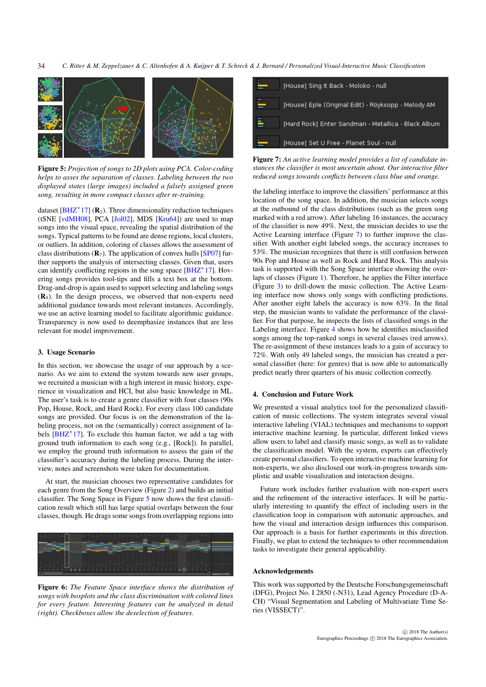<span id="page-3-5"></span>

<span id="page-3-4"></span>Figure 5: *Projection of songs to 2D plots using PCA. Color-coding helps to asses the separation of classes. Labeling between the two displayed states (large images) included a falsely assigned green song, resulting in more compact classes after re-training.*

dataset [\[BHZ](#page-4-32) $*$ 17] ( $\mathbb{R}_2$ ). Three dimensionality reduction techniques (tSNE [\[vdMH08\]](#page-4-33), PCA [\[Jol02\]](#page-4-34), MDS [\[Kru64\]](#page-4-35)) are used to map songs into the visual space, revealing the spatial distribution of the songs. Typical patterns to be found are dense regions, local clusters, or outliers. In addition, coloring of classes allows the assessment of class distributions  $(R_7)$ . The application of convex hulls [\[SP07\]](#page-4-36) further supports the analysis of intersecting classes. Given that, users can identify conflicting regions in the song space [\[BHZ](#page-4-32)∗17]. Hovering songs provides tool-tips and fills a text box at the bottom. Drag-and-drop is again used to support selecting and labeling songs  $(R<sub>4</sub>)$ . In the design process, we observed that non-experts need additional guidance towards most relevant instances. Accordingly, we use an active learning model to facilitate algorithmic guidance. Transparency is now used to deemphasize instances that are less relevant for model improvement.

# <span id="page-3-0"></span>3. Usage Scenario

In this section, we showcase the usage of our approach by a scenario. As we aim to extend the system towards new user groups, we recruited a musician with a high interest in music history, experience in visualization and HCI, but also basic knowledge in ML. The user's task is to create a genre classifier with four classes (90s Pop, House, Rock, and Hard Rock). For every class 100 candidate songs are provided. Our focus is on the demonstration of the labeling process, not on the (semantically) correct assignment of labels  $[BHZ^*17]$  $[BHZ^*17]$ . To exclude this human factor, we add a tag with ground truth information to each song (e.g., [Rock]). In parallel, we employ the ground truth information to assess the gain of the classifier's accuracy during the labeling process. During the interview, notes and screenshots were taken for documentation.

At start, the musician chooses two representative candidates for each genre from the Song Overview (Figure [2\)](#page-2-3) and builds an initial classifier. The Song Space in Figure [5](#page-3-4) now shows the first classification result which still has large spatial overlaps between the four classes, though. He drags some songs from overlapping regions into



<span id="page-3-2"></span>Figure 6: *The Feature Space interface shows the distribution of songs with boxplots and the class discrimination with colored lines for every feature. Interesting features can be analyzed in detail (right). Checkboxes allow the deselection of features.*

| [House] Sing It Back - Moloko - null                |
|-----------------------------------------------------|
| [House] Eple (Original Edit) - Röyksopp - Melody AM |
| [Hard Rock] Enter Sandman - Metallica - Black Album |
| [House] Set U Free - Planet Soul - null             |

<span id="page-3-3"></span>Figure 7: *An active learning model provides a list of candidate instances the classifier is most uncertain about. Our interactive filter reduced songs towards conflicts between class blue and orange.*

the labeling interface to improve the classifiers' performance at this location of the song space. In addition, the musician selects songs at the outbound of the class distributions (such as the green song marked with a red arrow). After labeling 16 instances, the accuracy of the classifier is now 49%. Next, the musician decides to use the Active Learning interface (Figure [7\)](#page-3-3) to further improve the classifier. With another eight labeled songs, the accuracy increases to 53%. The musician recognizes that there is still confusion between 90s Pop and House as well as Rock and Hard Rock. This analysis task is supported with the Song Space interface showing the overlaps of classes (Figure [1\)](#page-1-3). Therefore, he applies the Filter interface (Figure [3\)](#page-2-2) to drill-down the music collection. The Active Learning interface now shows only songs with conflicting predictions. After another eight labels the accuracy is now 63%. In the final step, the musician wants to validate the performance of the classifier. For that purpose, he inspects the lists of classified songs in the Labeling interface. Figure [4](#page-2-1) shows how he identifies misclassified songs among the top-ranked songs in several classes (red arrows). The re-assignment of these instances leads to a gain of accuracy to 72%. With only 49 labeled songs, the musician has created a personal classifier (here: for genres) that is now able to automatically predict nearly three quarters of his music collection correctly.

# <span id="page-3-1"></span>4. Conclusion and Future Work

We presented a visual analytics tool for the personalized classification of music collections. The system integrates several visual interactive labeling (VIAL) techniques and mechanisms to support interactive machine learning. In particular, different linked views allow users to label and classify music songs, as well as to validate the classification model. With the system, experts can effectively create personal classifiers. To open interactive machine learning for non-experts, we also disclosed our work-in-progress towards simplistic and usable visualization and interaction designs.

Future work includes further evaluation with non-expert users and the refinement of the interactive interfaces. It will be particularly interesting to quantify the effect of including users in the classification loop in comparison with automatic approaches, and how the visual and interaction design influences this comparison. Our approach is a basis for further experiments in this direction. Finally, we plan to extend the techniques to other recommendation tasks to investigate their general applicability.

#### Acknowledgements

This work was supported by the Deutsche Forschungsgemeinschaft (DFG), Project No. I 2850 (-N31), Lead Agency Procedure (D-A-CH) "Visual Segmentation and Labeling of Multivariate Time Series (VISSECT)".